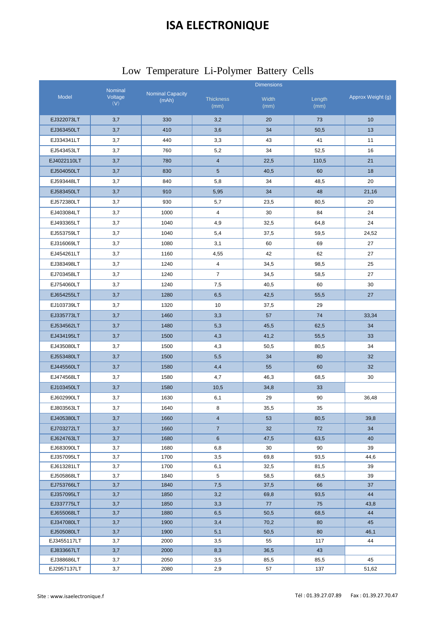## **ISA ELECTRONIQUE**

|                |                         | Low Temperature Li-Polymer Battery Cells |  |
|----------------|-------------------------|------------------------------------------|--|
| <b>Nominal</b> | <b>Nominal Capacity</b> | <b>Dimensions</b>                        |  |

|                          | Nominal        |                                  | <b>Dimensions</b>        |               |                |                   |  |
|--------------------------|----------------|----------------------------------|--------------------------|---------------|----------------|-------------------|--|
| <b>Model</b>             | Voltage<br>(V) | <b>Nominal Capacity</b><br>(mAh) | <b>Thickness</b><br>(mm) | Width<br>(mm) | Length<br>(mm) | Approx Weight (g) |  |
| EJ322073LT               | 3,7            | 330                              | 3,2                      | 20            | 73             | 10                |  |
| EJ363450LT               | 3,7            | 410                              | 3,6                      | 34            | 50,5           | 13                |  |
| EJ334341LT               | 3,7            | 440                              | 3,3                      | 43            | 41             | 11                |  |
| EJ543453LT               | 3,7            | 760                              | 5,2                      | 34            | 52,5           | 16                |  |
| EJ4022110LT              | 3,7            | 780                              | $\overline{4}$           | 22,5          | 110,5          | 21                |  |
| EJ504050LT               | 3,7            | 830                              | $5\phantom{.0}$          | 40,5          | 60             | 18                |  |
| EJ593448LT               | 3,7            | 840                              | 5,8                      | 34            | 48,5           | 20                |  |
| EJ583450LT               | 3,7            | 910                              | 5,95                     | 34            | 48             | 21,16             |  |
| EJ572380LT               | 3,7            | 930                              | 5,7                      | 23,5          | 80,5           | 20                |  |
| EJ403084LT               | 3,7            | 1000                             | $\overline{4}$           | 30            | 84             | 24                |  |
| EJ493365LT               | 3,7            | 1040                             | 4,9                      | 32,5          | 64,8           | 24                |  |
| EJ553759LT               | 3,7            | 1040                             | 5,4                      | 37,5          | 59,5           | 24,52             |  |
| EJ316069LT               | 3,7            | 1080                             | 3,1                      | 60            | 69             | 27                |  |
| EJ454261LT               | 3,7            | 1160                             | 4,55                     | 42            | 62             | 27                |  |
| EJ383498LT               | 3,7            | 1240                             | $\overline{4}$           | 34,5          | 98,5           | 25                |  |
| EJ703458LT               | 3,7            | 1240                             | $\overline{7}$           | 34,5          | 58,5           | 27                |  |
| EJ754060LT               | 3,7            | 1240                             | 7,5                      | 40,5          | 60             | 30                |  |
| EJ654255LT               | 3,7            | 1280                             | 6,5                      | 42,5          | 55,5           | 27                |  |
| EJ103739LT               | 3,7            | 1320                             | 10                       | 37,5          | 29             |                   |  |
| EJ335773LT               | 3,7            | 1460                             | 3,3                      | 57            | 74             | 33,34             |  |
| EJ534562LT               | 3,7            | 1480                             | 5,3                      | 45,5          | 62,5           | 34                |  |
| EJ434195LT               | 3,7            | 1500                             | 4,3                      | 41,2          | 55,5           | 33                |  |
| EJ435080LT               | 3,7            | 1500                             | 4,3                      | 50,5          | 80,5           | 34                |  |
| EJ553480LT               | 3,7            | 1500                             | 5,5                      | 34            | 80             | 32                |  |
| EJ445560LT               | 3,7            | 1580                             | 4,4                      | 55            | 60             | 32                |  |
| EJ474568LT               | 3,7            | 1580                             | 4,7                      | 46,3          | 68,5           | 30                |  |
| EJ103450LT               | 3,7            | 1580                             | 10,5                     | 34,8          | 33             |                   |  |
| EJ602990LT               | 3,7            | 1630                             | 6,1                      | 29            | 90             | 36,48             |  |
| EJ803563LT               | 3,7            | 1640                             | 8                        | 35,5          | 35             |                   |  |
| EJ405380LT               | 3,7            | 1660                             | $\overline{4}$           | 53            | 80,5           | 39,8              |  |
| EJ703272LT               | 3,7            | 1660                             | $\overline{7}$           | 32            | 72             | 34                |  |
| EJ624763LT               | 3,7            | 1680                             | 6                        | 47,5          | 63,5           | 40                |  |
| EJ683090LT               | 3,7            | 1680                             | 6,8                      | 30            | 90             | 39                |  |
| EJ357095LT               | 3,7            | 1700                             | 3,5                      | 69,8          | 93,5           | 44,6              |  |
| EJ613281LT               | 3,7            | 1700                             | 6,1                      | 32,5          | 81,5           | 39                |  |
| EJ505868LT               | 3,7            | 1840                             | 5                        | 58,5          | 68,5           | 39                |  |
| EJ753766LT               | 3,7            | 1840                             | 7,5                      | 37,5          | 66             | 37                |  |
| EJ357095LT<br>EJ337775LT | 3,7            | 1850<br>1850                     | 3,2<br>3,3               | 69,8<br>77    | 93,5<br>75     | 44<br>43,8        |  |
| EJ655068LT               | 3,7<br>3,7     | 1880                             | 6,5                      | 50,5          | 68,5           | 44                |  |
| EJ347080LT               | 3,7            | 1900                             | 3,4                      | 70,2          | 80             | 45                |  |
| EJ505080LT               | 3,7            | 1900                             | 5,1                      | 50,5          | 80             | 46,1              |  |
| EJ3455117LT              | 3,7            | 2000                             | 3,5                      | 55            | 117            | 44                |  |
| EJ833667LT               | 3,7            | 2000                             | 8,3                      | 36,5          | 43             |                   |  |
| EJ388686LT               | 3,7            | 2050                             | 3,5                      | 85,5          | 85,5           | 45                |  |
| EJ2957137LT              | 3,7            | 2080                             | 2,9                      | 57            | 137            | 51,62             |  |

Ť.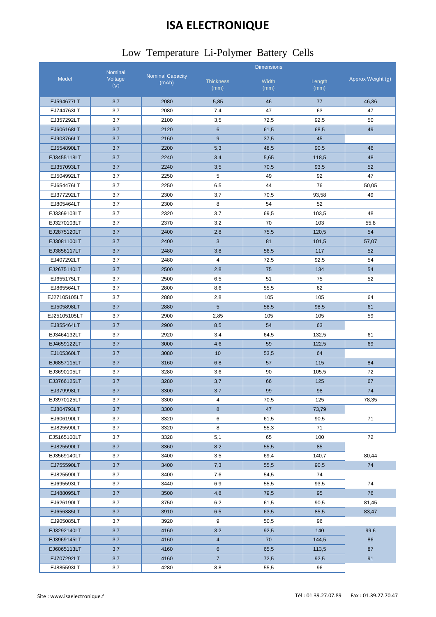# **ISA ELECTRONIQUE**

#### Low Temperature Li-Polymer Battery Cells

|                            | Nominal        |                                  | <b>Dimensions</b>        |               |                |                   |  |
|----------------------------|----------------|----------------------------------|--------------------------|---------------|----------------|-------------------|--|
| Model                      | Voltage<br>(V) | <b>Nominal Capacity</b><br>(mAh) | <b>Thickness</b><br>(mm) | Width<br>(mm) | Length<br>(mm) | Approx Weight (g) |  |
| EJ594677LT                 | 3,7            | 2080                             | 5,85                     | 46            | 77             | 46,36             |  |
| EJ744763LT                 | 3,7            | 2080                             | 7,4                      | 47            | 63             | 47                |  |
| EJ357292LT                 | 3,7            | 2100                             | 3,5                      | 72,5          | 92,5           | 50                |  |
| EJ606168LT                 | 3,7            | 2120                             | $6\phantom{1}$           | 61,5          | 68,5           | 49                |  |
|                            |                | 2160                             | 9                        |               | 45             |                   |  |
| EJ903766LT<br>EJ554890LT   | 3,7            | 2200                             | 5,3                      | 37,5<br>48,5  | 90,5           | 46                |  |
| EJ3455118LT                | 3,7            | 2240                             |                          |               |                | 48                |  |
| EJ357093LT                 | 3,7<br>3,7     | 2240                             | 3,4<br>3,5               | 5,65<br>70,5  | 118,5<br>93,5  | 52                |  |
| EJ504992LT                 | 3,7            | 2250                             | 5                        | 49            | 92             | 47                |  |
| EJ654476LT                 | 3,7            | 2250                             | 6,5                      | 44            | 76             | 50,05             |  |
| EJ377292LT                 | 3,7            | 2300                             | 3,7                      | 70,5          | 93,58          | 49                |  |
| EJ805464LT                 | 3,7            | 2300                             | 8                        | 54            | 52             |                   |  |
|                            |                | 2320                             |                          |               |                | 48                |  |
| EJ3369103LT<br>EJ3270103LT | 3,7<br>3,7     | 2370                             | 3,7<br>3,2               | 69,5<br>70    | 103,5<br>103   | 55,8              |  |
| EJ2875120LT                |                | 2400                             |                          |               |                | 54                |  |
|                            | 3,7            |                                  | 2,8                      | 75,5          | 120,5          |                   |  |
| EJ3081100LT                | 3,7            | 2400                             | 3                        | 81            | 101,5          | 57,07             |  |
| EJ3856117LT                | 3,7            | 2480                             | 3,8                      | 56,5          | 117            | 52                |  |
| EJ407292LT                 | 3,7            | 2480                             | $\overline{4}$           | 72,5          | 92,5           | 54                |  |
| EJ2675140LT                | 3,7            | 2500                             | 2,8                      | 75            | 134            | 54                |  |
| EJ655175LT                 | 3,7            | 2500                             | 6,5                      | 51            | 75             | 52                |  |
| EJ865564LT                 | 3,7            | 2800                             | 8,6                      | 55,5          | 62             |                   |  |
| EJ27105105LT               | 3,7            | 2880                             | 2,8                      | 105           | 105            | 64                |  |
| EJ505898LT                 | 3,7            | 2880                             | $5\phantom{.0}$          | 58,5          | 98,5           | 61                |  |
| EJ25105105LT               | 3,7            | 2900                             | 2,85                     | 105           | 105            | 59                |  |
| EJ855464LT                 | 3,7            | 2900                             | 8,5                      | 54            | 63             |                   |  |
| EJ3464132LT                | 3,7            | 2920                             | 3,4                      | 64,5          | 132,5          | 61                |  |
| EJ4659122LT                | 3,7            | 3000                             | 4,6                      | 59            | 122,5          | 69                |  |
| EJ105360LT                 | 3,7            | 3080                             | 10                       | 53,5          | 64             |                   |  |
| EJ6857115LT                | 3,7            | 3160                             | 6,8                      | 57            | 115            | 84                |  |
| EJ3690105LT                | 3,7            | 3280                             | 3,6                      | 90            | 105,5          | 72                |  |
| EJ3766125LT                | 3,7            | 3280                             | 3,7                      | 66            | 125            | 67                |  |
| EJ379998LT                 | $_{\rm 3,7}$   | 3300                             | $3,7$                    | 99            | 98             | 74                |  |
| EJ3970125LT                | 3,7            | 3300                             | 4                        | 70,5          | 125            | 78,35             |  |
| EJ804793LT                 | 3,7            | 3300                             | 8                        | 47            | 73,79          |                   |  |
| EJ606190LT                 | 3,7            | 3320                             | 6                        | 61,5          | 90,5           | 71                |  |
| EJ825590LT                 | 3,7            | 3320                             | 8                        | 55,3          | 71             |                   |  |
| EJ5165100LT                | 3,7            | 3328                             | 5,1                      | 65            | 100            | 72                |  |
| EJ825590LT                 | 3,7            | 3360                             | 8,2                      | 55,5          | 85             |                   |  |
| EJ3569140LT                | 3,7            | 3400                             | 3,5                      | 69,4          | 140,7          | 80,44             |  |
| EJ755590LT                 | 3,7            | 3400                             | 7,3                      | 55,5          | 90,5           | 74                |  |
| EJ825590LT                 | 3,7            | 3400                             | 7,6                      | 54,5          | 74             |                   |  |
| EJ695593LT                 | 3,7            | 3440                             | 6,9                      | 55,5          | 93,5           | 74                |  |
| EJ488095LT                 | 3,7            | 3500                             | 4,8                      | 79,5          | 95             | 76                |  |
| EJ626190LT                 | 3,7            | 3750                             | 6,2                      | 61,5          | 90,5           | 81,45             |  |
| EJ656385LT                 | 3,7            | 3910                             | 6,5                      | 63,5          | 85,5           | 83,47             |  |
| EJ905085LT                 | 3,7            | 3920                             | 9                        | 50,5          | 96             |                   |  |
| EJ3292140LT                | 3,7            | 4160                             | 3,2                      | 92,5          | 140            | 99,6              |  |
| EJ3969145LT                | 3,7            | 4160                             | $\overline{4}$           | 70            | 144,5          | 86                |  |
| EJ6065113LT                | 3,7            | 4160                             | 6                        | 65,5          | 113,5          | 87                |  |
| EJ707292LT                 | 3,7            | 4160                             | $\overline{7}$           | 72,5          | 92,5           | 91                |  |
| EJ885593LT                 | 3,7            | 4280                             | 8,8                      | 55,5          | 96             |                   |  |